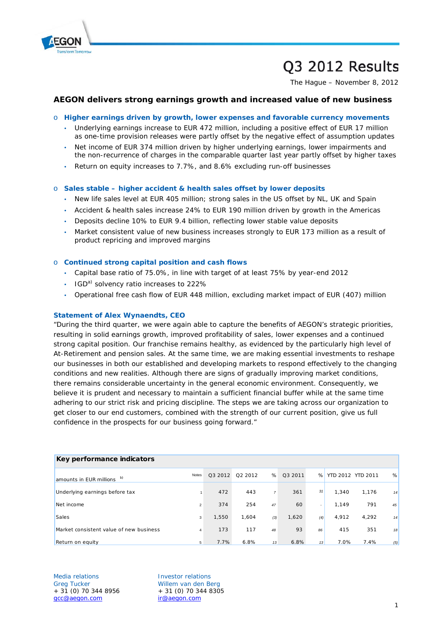

# $Q3$  2012 Results<br>The Haque – November 8, 2012

#### **AEGON delivers strong earnings growth and increased value of new business**

- o **Higher earnings driven by growth, lower expenses and favorable currency movements**
	- Underlying earnings increase to EUR 472 million, including a positive effect of EUR 17 million as one-time provision releases were partly offset by the negative effect of assumption updates
	- Net income of EUR 374 million driven by higher underlying earnings, lower impairments and the non-recurrence of charges in the comparable quarter last year partly offset by higher taxes
	- Return on equity increases to 7.7%, and 8.6% excluding run-off businesses

#### o **Sales stable – higher accident & health sales offset by lower deposits**

- New life sales level at EUR 405 million; strong sales in the US offset by NL, UK and Spain
- Accident & health sales increase 24% to EUR 190 million driven by growth in the Americas
- Deposits decline 10% to EUR 9.4 billion, reflecting lower stable value deposits
- Market consistent value of new business increases strongly to EUR 173 million as a result of product repricing and improved margins

#### o **Continued strong capital position and cash flows**

- Capital base ratio of 75.0%, in line with target of at least 75% by year-end 2012
- $\cdot$  IGD<sup>a)</sup> solvency ratio increases to 222%
- Operational free cash flow of EUR 448 million, excluding market impact of EUR (407) million

#### **Statement of Alex Wynaendts, CEO**

"During the third quarter, we were again able to capture the benefits of AEGON's strategic priorities, resulting in solid earnings growth, improved profitability of sales, lower expenses and a continued strong capital position. Our franchise remains healthy, as evidenced by the particularly high level of At-Retirement and pension sales. At the same time, we are making essential investments to reshape our businesses in both our established and developing markets to respond effectively to the changing conditions and new realities. Although there are signs of gradually improving market conditions, there remains considerable uncertainty in the general economic environment. Consequently, we believe it is prudent and necessary to maintain a sufficient financial buffer while at the same time adhering to our strict risk and pricing discipline. The steps we are taking across our organization to get closer to our end customers, combined with the strength of our current position, give us full confidence in the prospects for our business going forward."

| amounts in EUR millions $b)$            | <b>Notes</b>   | Q3 2012 | Q2 2012 | %              | Q3 2011 | %                        | YTD 2012 YTD 2011 |       | %   |
|-----------------------------------------|----------------|---------|---------|----------------|---------|--------------------------|-------------------|-------|-----|
| Underlying earnings before tax          |                | 472     | 443     | $\overline{7}$ | 361     | 31                       | 1,340             | 1,176 | 14  |
| Net income                              | 2              | 374     | 254     | 47             | 60      | $\overline{\phantom{a}}$ | 1.149             | 791   | 45  |
| <b>Sales</b>                            | 3              | 1,550   | 1,604   | (3)            | 1,620   | (4)                      | 4,912             | 4,292 | 14  |
| Market consistent value of new business | $\overline{4}$ | 173     | 117     | 48             | 93      | 86                       | 415               | 351   | 18  |
| Return on equity                        | 5              | 7.7%    | 6.8%    | 13             | 6.8%    | 13                       | 7.0%              | 7.4%  | (5) |

#### **Key performance indicators**

Greg Tucker Willem van den Berg  $+ 31 (0) 70 344 8956$   $+ 31 (0) 70 344 8305$ [gcc@aegon.com](mailto:gcc@aegon.com) [ir@aegon.com](mailto:ir@aegon.com)

Media relations Investor relations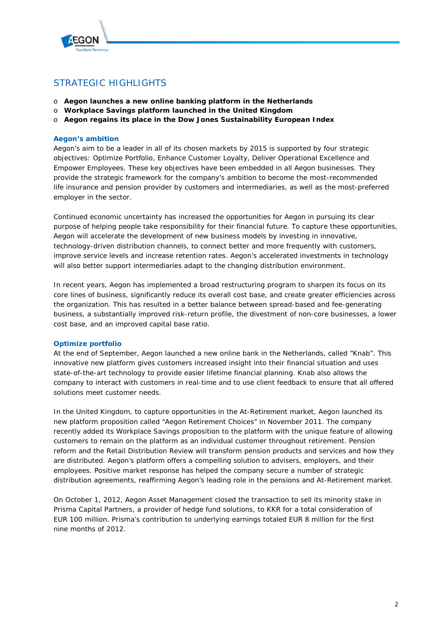

# STRATEGIC HIGHLIGHTS

- o **Aegon launches a new online banking platform in the Netherlands**
- o **Workplace Savings platform launched in the United Kingdom**
- o **Aegon regains its place in the Dow Jones Sustainability European Index**

#### **Aegon's ambition**

Aegon's aim to be a leader in all of its chosen markets by 2015 is supported by four strategic objectives: Optimize Portfolio, Enhance Customer Loyalty, Deliver Operational Excellence and Empower Employees. These key objectives have been embedded in all Aegon businesses. They provide the strategic framework for the company's ambition to become the most-recommended life insurance and pension provider by customers and intermediaries, as well as the most-preferred employer in the sector.

Continued economic uncertainty has increased the opportunities for Aegon in pursuing its clear purpose of helping people take responsibility for their financial future. To capture these opportunities, Aegon will accelerate the development of new business models by investing in innovative, technology-driven distribution channels, to connect better and more frequently with customers, improve service levels and increase retention rates. Aegon's accelerated investments in technology will also better support intermediaries adapt to the changing distribution environment.

In recent years, Aegon has implemented a broad restructuring program to sharpen its focus on its core lines of business, significantly reduce its overall cost base, and create greater efficiencies across the organization. This has resulted in a better balance between spread-based and fee-generating business, a substantially improved risk-return profile, the divestment of non-core businesses, a lower cost base, and an improved capital base ratio.

#### **Optimize portfolio**

At the end of September, Aegon launched a new online bank in the Netherlands, called "Knab". This innovative new platform gives customers increased insight into their financial situation and uses state-of-the-art technology to provide easier lifetime financial planning. Knab also allows the company to interact with customers in real-time and to use client feedback to ensure that all offered solutions meet customer needs.

In the United Kingdom, to capture opportunities in the At-Retirement market, Aegon launched its new platform proposition called "Aegon Retirement Choices" in November 2011. The company recently added its Workplace Savings proposition to the platform with the unique feature of allowing customers to remain on the platform as an individual customer throughout retirement. Pension reform and the Retail Distribution Review will transform pension products and services and how they are distributed. Aegon's platform offers a compelling solution to advisers, employers, and their employees. Positive market response has helped the company secure a number of strategic distribution agreements, reaffirming Aegon's leading role in the pensions and At-Retirement market.

On October 1, 2012, Aegon Asset Management closed the transaction to sell its minority stake in Prisma Capital Partners, a provider of hedge fund solutions, to KKR for a total consideration of EUR 100 million. Prisma's contribution to underlying earnings totaled EUR 8 million for the first nine months of 2012.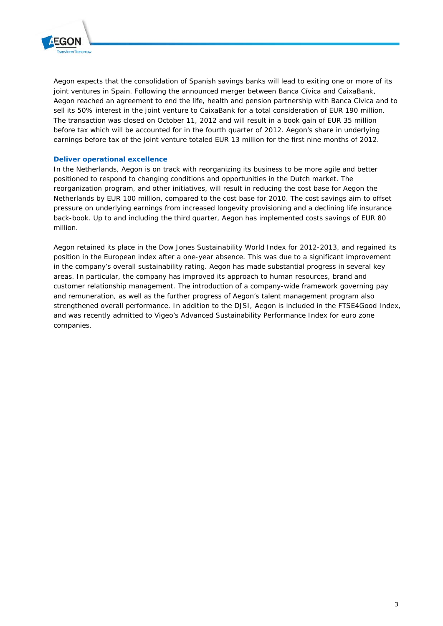

Aegon expects that the consolidation of Spanish savings banks will lead to exiting one or more of its joint ventures in Spain. Following the announced merger between Banca Cívica and CaixaBank, Aegon reached an agreement to end the life, health and pension partnership with Banca Cívica and to sell its 50% interest in the joint venture to CaixaBank for a total consideration of EUR 190 million. The transaction was closed on October 11, 2012 and will result in a book gain of EUR 35 million before tax which will be accounted for in the fourth quarter of 2012. Aegon's share in underlying earnings before tax of the joint venture totaled EUR 13 million for the first nine months of 2012.

#### **Deliver operational excellence**

In the Netherlands, Aegon is on track with reorganizing its business to be more agile and better positioned to respond to changing conditions and opportunities in the Dutch market. The reorganization program, and other initiatives, will result in reducing the cost base for Aegon the Netherlands by EUR 100 million, compared to the cost base for 2010. The cost savings aim to offset pressure on underlying earnings from increased longevity provisioning and a declining life insurance back-book. Up to and including the third quarter, Aegon has implemented costs savings of EUR 80 million.

Aegon retained its place in the Dow Jones Sustainability World Index for 2012-2013, and regained its position in the European index after a one-year absence. This was due to a significant improvement in the company's overall sustainability rating. Aegon has made substantial progress in several key areas. In particular, the company has improved its approach to human resources, brand and customer relationship management. The introduction of a company-wide framework governing pay and remuneration, as well as the further progress of Aegon's talent management program also strengthened overall performance. In addition to the DJSI, Aegon is included in the FTSE4Good Index, and was recently admitted to Vigeo's Advanced Sustainability Performance Index for euro zone companies.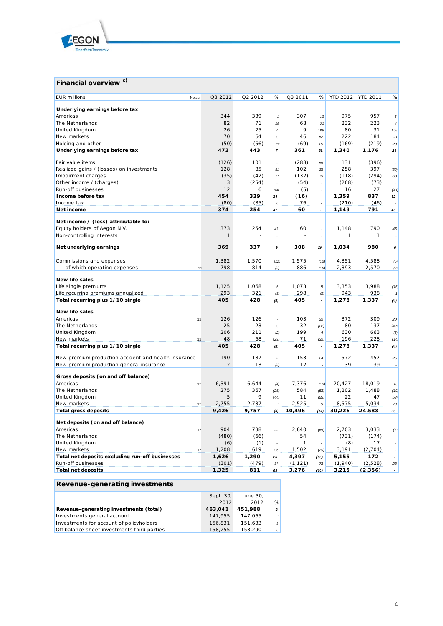

# **Financial overview c)**

| <b>EUR</b> millions<br>Notes                         | Q3 2012 | Q2 2012 | %                        | Q3 2011  | %                        | <b>YTD 2012</b> | <b>YTD 2011</b> | %              |
|------------------------------------------------------|---------|---------|--------------------------|----------|--------------------------|-----------------|-----------------|----------------|
| Underlying earnings before tax                       |         |         |                          |          |                          |                 |                 |                |
| Americas                                             | 344     | 339     | $\pmb{\mathcal{I}}$      | 307      | 12                       | 975             | 957             | $\overline{c}$ |
| The Netherlands                                      | 82      | 71      | 15                       | 68       | 21                       | 232             | 223             | $\overline{4}$ |
| United Kingdom                                       | 26      | 25      | $\overline{\bf 4}$       | 9        | 189                      | 80              | 31              | 158            |
| New markets                                          | 70      | 64      | $\boldsymbol{9}$         | 46       | 52                       | 222             | 184             | 21             |
| Holding and other                                    | (50)    | (56)    | 11                       | (69)     | 28                       | (169)           | (219)           | 23             |
| Underlying earnings before tax                       | 472     | 443     | $\boldsymbol{7}$         | 361      | 31                       | 1,340           | 1,176           | 14             |
| Fair value items                                     | (126)   | 101     | $\sim$                   | (288)    | 56                       | 131             | (396)           |                |
| Realized gains / (losses) on investments             | 128     | 85      | 51                       | 102      | 25                       | 258             | 397             | (35)           |
| Impairment charges                                   | (35)    | (42)    | 17                       | (132)    | 73                       | (118)           | (294)           | 60             |
| Other income / (charges)                             | 3       | (254)   | $\overline{a}$           | (54)     | $\overline{a}$           | (268)           | (73)            |                |
| Run-off businesses                                   | 12      | 6       | 100                      | (5)      |                          | 16              | 27              | (41)           |
| Income before tax                                    | 454     | 339     | 34                       | (16)     | $\overline{a}$           | 1,359           | 837             | 62             |
| Income tax                                           | (80)    | (85)    | 6                        | 76       |                          | (210)           | (46)            |                |
| Net income                                           | 374     | 254     | 47                       | 60       | $\overline{a}$           | 1,149           | 791             | 45             |
| Net income / (loss) attributable to:                 |         |         |                          |          |                          |                 |                 |                |
| Equity holders of Aegon N.V.                         | 373     | 254     | 47                       | 60       |                          | 1,148           | 790             | 45             |
| Non-controlling interests                            | 1       |         |                          |          |                          | 1               | 1               |                |
|                                                      | 369     | 337     | 9                        | 308      | 20                       | 1,034           | 980             | 6              |
| Net underlying earnings                              |         |         |                          |          |                          |                 |                 |                |
| Commissions and expenses                             | 1,382   | 1,570   | (12)                     | 1,575    | (12)                     | 4,351           | 4,588           | (5)            |
| of which operating expenses<br>11                    | 798     | 814     | (2)                      | 886      | (10)                     | 2,393           | 2,570           | (7)            |
|                                                      |         |         |                          |          |                          |                 |                 |                |
| <b>New life sales</b>                                |         |         |                          |          |                          |                 |                 |                |
| Life single premiums                                 | 1,125   | 1,068   | 5                        | 1,073    | 5                        | 3,353           | 3,988           | (16)           |
| Life recurring premiums annualized                   | 293     | 321     | (9)                      | 298      | (2)                      | 943             | 938             |                |
| Total recurring plus 1/10 single                     | 405     | 428     | (5)                      | 405      | $\overline{\phantom{a}}$ | 1,278           | 1,337           | (4)            |
| New life sales                                       |         |         |                          |          |                          |                 |                 |                |
| Americas<br>12                                       | 126     | 126     |                          | 103      | 22                       | 372             | 309             | 20             |
| The Netherlands                                      | 25      | 23      | 9                        | 32       | (22)                     | 80              | 137             | (42)           |
| United Kingdom                                       | 206     | 211     | (2)                      | 199      | $\boldsymbol{4}$         | 630             | 663             | (5)            |
| New markets<br>12                                    | 48      | 68      | (29)                     | 71       | (32)                     | 196             | 228             | (14)           |
| Total recurring plus 1/10 single                     | 405     | 428     | (5)                      | 405      |                          | 1,278           | 1,337           | (4)            |
| New premium production accident and health insurance | 190     | 187     | $\sqrt{2}$               | 153      | 24                       | 572             | 457             | 25             |
| New premium production general insurance             | 12      | 13      | (8)                      | 12       | ÷,                       | 39              | 39              |                |
| Gross deposits (on and off balance)                  |         |         |                          |          |                          |                 |                 |                |
| Americas<br>12                                       | 6,391   | 6,644   | (4)                      | 7,376    | (13)                     | 20,427          | 18,019          | 13             |
| The Netherlands                                      | 275     | 367     | (25)                     | 584      | (53)                     | 1,202           | 1,488           | (19)           |
| United Kingdom                                       | 5       | 9       | (44)                     | 11       | (55)                     | 22              | 47              | (53)           |
| New markets<br>12                                    | 2,755   | 2,737   | $\mathbf{1}$             | 2,525    | 9                        | 8,575           | 5,034           | 70             |
| <b>Total gross deposits</b>                          | 9,426   | 9,757   | (3)                      | 10,496   | (10)                     | 30,226          | 24,588          | 23             |
| Net deposits (on and off balance)                    |         |         |                          |          |                          |                 |                 |                |
| Americas<br>12                                       | 904     | 738     | 22                       | 2.840    | (68)                     | 2.703           | 3,033           | (11)           |
| The Netherlands                                      | (480)   | (66)    |                          | 54       |                          | (731)           | (174)           |                |
| United Kingdom                                       | (6)     | (1)     | $\overline{\phantom{a}}$ | 1        | $\overline{a}$           | (8)             | 17              |                |
| New markets<br>12                                    | 1,208   | 619     | 95                       | 1,502    | (20)                     | 3,191           | (2,704)         |                |
| Total net deposits excluding run-off businesses      | 1,626   | 1,290   | 26                       | 4,397    | (63)                     | 5,155           | 172             |                |
| Run-off businesses                                   | (301)   | (479)   | 37                       | (1, 121) | 73                       | (1,940)         | (2,528)         | 23             |
| <b>Total net deposits</b>                            | 1,325   | 811     | 63                       | 3,276    | (60)                     | 3,215           | (2, 356)        | $\overline{a}$ |
|                                                      |         |         |                          |          |                          |                 |                 |                |

### **Revenue-generating investments**

| Sept. 30, | June 30, |                |
|-----------|----------|----------------|
| 2012      | 2012     | %              |
| 463,041   | 451,988  | $\overline{2}$ |
| 147.955   | 147.065  | -1             |
| 156.831   | 151.633  | $\cdot$ 3      |
| 158.255   | 153,290  | 3              |
|           |          |                |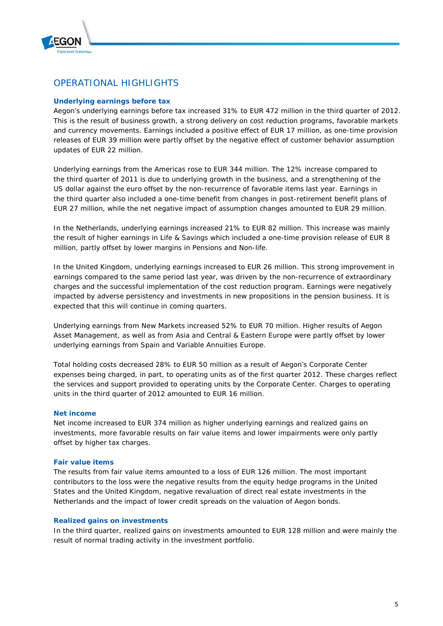

# OPERATIONAL HIGHLIGHTS

#### **Underlying earnings before tax**

Aegon's underlying earnings before tax increased 31% to EUR 472 million in the third quarter of 2012. This is the result of business growth, a strong delivery on cost reduction programs, favorable markets and currency movements. Earnings included a positive effect of EUR 17 million, as one-time provision releases of EUR 39 million were partly offset by the negative effect of customer behavior assumption updates of EUR 22 million.

Underlying earnings from the Americas rose to EUR 344 million. The 12% increase compared to the third quarter of 2011 is due to underlying growth in the business, and a strengthening of the US dollar against the euro offset by the non-recurrence of favorable items last year. Earnings in the third quarter also included a one-time benefit from changes in post-retirement benefit plans of EUR 27 million, while the net negative impact of assumption changes amounted to EUR 29 million.

In the Netherlands, underlying earnings increased 21% to EUR 82 million. This increase was mainly the result of higher earnings in Life & Savings which included a one-time provision release of EUR 8 million, partly offset by lower margins in Pensions and Non-life.

In the United Kingdom, underlying earnings increased to EUR 26 million. This strong improvement in earnings compared to the same period last year, was driven by the non-recurrence of extraordinary charges and the successful implementation of the cost reduction program. Earnings were negatively impacted by adverse persistency and investments in new propositions in the pension business. It is expected that this will continue in coming quarters.

Underlying earnings from New Markets increased 52% to EUR 70 million. Higher results of Aegon Asset Management, as well as from Asia and Central & Eastern Europe were partly offset by lower underlying earnings from Spain and Variable Annuities Europe.

Total holding costs decreased 28% to EUR 50 million as a result of Aegon's Corporate Center expenses being charged, in part, to operating units as of the first quarter 2012. These charges reflect the services and support provided to operating units by the Corporate Center. Charges to operating units in the third quarter of 2012 amounted to EUR 16 million.

#### **Net income**

Net income increased to EUR 374 million as higher underlying earnings and realized gains on investments, more favorable results on fair value items and lower impairments were only partly offset by higher tax charges.

#### **Fair value items**

The results from fair value items amounted to a loss of EUR 126 million. The most important contributors to the loss were the negative results from the equity hedge programs in the United States and the United Kingdom, negative revaluation of direct real estate investments in the Netherlands and the impact of lower credit spreads on the valuation of Aegon bonds.

#### **Realized gains on investments**

In the third quarter, realized gains on investments amounted to EUR 128 million and were mainly the result of normal trading activity in the investment portfolio.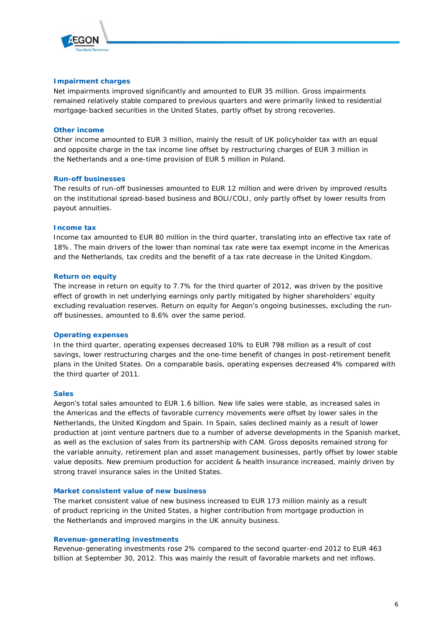

#### **Impairment charges**

Net impairments improved significantly and amounted to EUR 35 million. Gross impairments remained relatively stable compared to previous quarters and were primarily linked to residential mortgage-backed securities in the United States, partly offset by strong recoveries.

#### **Other income**

Other income amounted to EUR 3 million, mainly the result of UK policyholder tax with an equal and opposite charge in the tax income line offset by restructuring charges of EUR 3 million in the Netherlands and a one-time provision of EUR 5 million in Poland.

#### **Run-off businesses**

The results of run-off businesses amounted to EUR 12 million and were driven by improved results on the institutional spread-based business and BOLI/COLI, only partly offset by lower results from payout annuities.

#### **Income tax**

Income tax amounted to EUR 80 million in the third quarter, translating into an effective tax rate of 18%. The main drivers of the lower than nominal tax rate were tax exempt income in the Americas and the Netherlands, tax credits and the benefit of a tax rate decrease in the United Kingdom.

#### **Return on equity**

The increase in return on equity to 7.7% for the third quarter of 2012, was driven by the positive effect of growth in net underlying earnings only partly mitigated by higher shareholders' equity excluding revaluation reserves. Return on equity for Aegon's ongoing businesses, excluding the runoff businesses, amounted to 8.6% over the same period.

#### **Operating expenses**

In the third quarter, operating expenses decreased 10% to EUR 798 million as a result of cost savings, lower restructuring charges and the one-time benefit of changes in post-retirement benefit plans in the United States. On a comparable basis, operating expenses decreased 4% compared with the third quarter of 2011.

#### **Sales**

Aegon's total sales amounted to EUR 1.6 billion. New life sales were stable, as increased sales in the Americas and the effects of favorable currency movements were offset by lower sales in the Netherlands, the United Kingdom and Spain. In Spain, sales declined mainly as a result of lower production at joint venture partners due to a number of adverse developments in the Spanish market, as well as the exclusion of sales from its partnership with CAM. Gross deposits remained strong for the variable annuity, retirement plan and asset management businesses, partly offset by lower stable value deposits. New premium production for accident & health insurance increased, mainly driven by strong travel insurance sales in the United States.

#### **Market consistent value of new business**

The market consistent value of new business increased to EUR 173 million mainly as a result of product repricing in the United States, a higher contribution from mortgage production in the Netherlands and improved margins in the UK annuity business.

#### **Revenue-generating investments**

Revenue-generating investments rose 2% compared to the second quarter-end 2012 to EUR 463 billion at September 30, 2012. This was mainly the result of favorable markets and net inflows.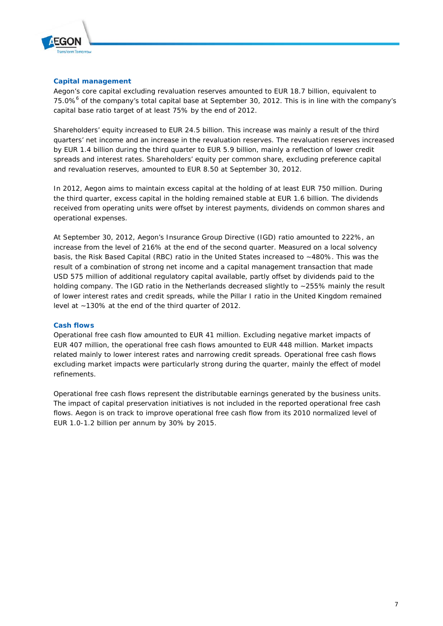

## **Capital management**

Aegon's core capital excluding revaluation reserves amounted to EUR 18.7 billion, equivalent to 75.0%<sup>6</sup> of the company's total capital base at September 30, 2012. This is in line with the company's capital base ratio target of at least 75% by the end of 2012.

Shareholders' equity increased to EUR 24.5 billion. This increase was mainly a result of the third quarters' net income and an increase in the revaluation reserves. The revaluation reserves increased by EUR 1.4 billion during the third quarter to EUR 5.9 billion, mainly a reflection of lower credit spreads and interest rates. Shareholders' equity per common share, excluding preference capital and revaluation reserves, amounted to EUR 8.50 at September 30, 2012.

In 2012, Aegon aims to maintain excess capital at the holding of at least EUR 750 million. During the third quarter, excess capital in the holding remained stable at EUR 1.6 billion. The dividends received from operating units were offset by interest payments, dividends on common shares and operational expenses.

At September 30, 2012, Aegon's Insurance Group Directive (IGD) ratio amounted to 222%, an increase from the level of 216% at the end of the second quarter. Measured on a local solvency basis, the Risk Based Capital (RBC) ratio in the United States increased to ~480%. This was the result of a combination of strong net income and a capital management transaction that made USD 575 million of additional regulatory capital available, partly offset by dividends paid to the holding company. The IGD ratio in the Netherlands decreased slightly to ~255% mainly the result of lower interest rates and credit spreads, while the Pillar I ratio in the United Kingdom remained level at ~130% at the end of the third quarter of 2012.

## **Cash flows**

Operational free cash flow amounted to EUR 41 million. Excluding negative market impacts of EUR 407 million, the operational free cash flows amounted to EUR 448 million. Market impacts related mainly to lower interest rates and narrowing credit spreads. Operational free cash flows excluding market impacts were particularly strong during the quarter, mainly the effect of model refinements.

Operational free cash flows represent the distributable earnings generated by the business units. The impact of capital preservation initiatives is not included in the reported operational free cash flows. Aegon is on track to improve operational free cash flow from its 2010 normalized level of EUR 1.0-1.2 billion per annum by 30% by 2015.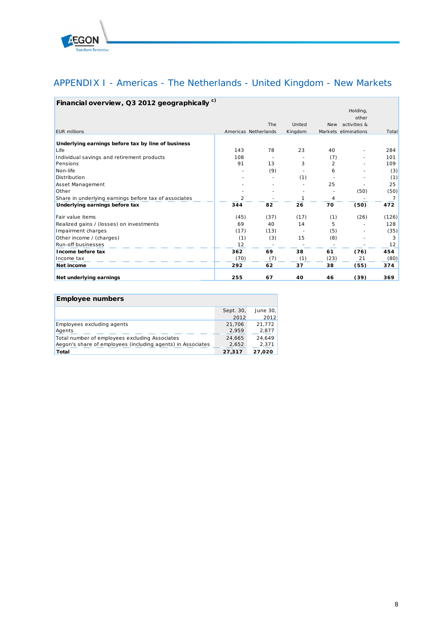

# APPENDIX I - Americas - The Netherlands - United Kingdom - New Markets

## **Financial overview, Q3 2012 geographically c)**

|                                                       |                      |      |         |                      | Holding,<br>other |       |
|-------------------------------------------------------|----------------------|------|---------|----------------------|-------------------|-------|
|                                                       |                      | The  | United  | <b>New</b>           | activities &      |       |
| <b>EUR millions</b>                                   | Americas Netherlands |      | Kingdom | Markets eliminations |                   | Total |
| Underlying earnings before tax by line of business    |                      |      |         |                      |                   |       |
| Life                                                  | 143                  | 78   | 23      | 40                   |                   | 284   |
| Individual savings and retirement products            | 108                  |      |         | (7)                  |                   | 101   |
| Pensions                                              | 91                   | 13   | 3       | 2                    |                   | 109   |
| Non-life                                              |                      | (9)  |         | 6                    |                   | (3)   |
| Distribution                                          |                      |      | (1)     |                      |                   | (1)   |
| Asset Management                                      |                      |      |         | 25                   |                   | 25    |
| Other                                                 |                      |      |         |                      | (50)              | (50)  |
| Share in underlying earnings before tax of associates | $\overline{2}$       |      |         | 4                    |                   |       |
| Underlying earnings before tax                        | 344                  | 82   | 26      | 70                   | (50)              | 472   |
| Fair value items                                      | (45)                 | (37) | (17)    | (1)                  | (26)              | (126) |
| Realized gains / (losses) on investments              | 69                   | 40   | 14      | 5                    |                   | 128   |
| Impairment charges                                    | (17)                 | (13) |         | (5)                  |                   | (35)  |
| Other income / (charges)                              | (1)                  | (3)  | 15      | (8)                  |                   | 3     |
| Run-off businesses                                    | 12                   |      |         |                      |                   | 12    |
| Income before tax                                     | 362                  | 69   | 38      | 61                   | (76)              | 454   |
| Income tax                                            | (70)                 | (7)  | (1)     | (23)                 | 21                | (80)  |
| Net income                                            | 292                  | 62   | 37      | 38                   | (55)              | 374   |
| Net underlying earnings                               | 255                  | 67   | 40      | 46                   | (39)              | 369   |

| Employee numbers                                            |           |          |
|-------------------------------------------------------------|-----------|----------|
|                                                             | Sept. 30, | June 30. |
|                                                             | 2012      | 2012     |
| Employees excluding agents                                  | 21.706    | 21.772   |
| Agents                                                      | 2,959     | 2,877    |
| Total number of employees excluding Associates              | 24.665    | 24.649   |
| Aegon's share of employees (including agents) in Associates | 2,652     | 2,371    |
| Total                                                       | 27,317    | 27.020   |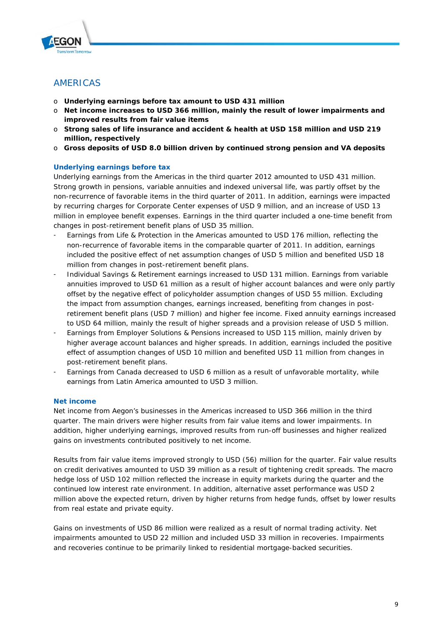

# AMERICAS

- o **Underlying earnings before tax amount to USD 431 million**
- o **Net income increases to USD 366 million, mainly the result of lower impairments and improved results from fair value items**
- o **Strong sales of life insurance and accident & health at USD 158 million and USD 219 million, respectively**
- o **Gross deposits of USD 8.0 billion driven by continued strong pension and VA deposits**

## **Underlying earnings before tax**

Underlying earnings from the Americas in the third quarter 2012 amounted to USD 431 million. Strong growth in pensions, variable annuities and indexed universal life, was partly offset by the non-recurrence of favorable items in the third quarter of 2011. In addition, earnings were impacted by recurring charges for Corporate Center expenses of USD 9 million, and an increase of USD 13 million in employee benefit expenses. Earnings in the third quarter included a one-time benefit from changes in post-retirement benefit plans of USD 35 million.

- Earnings from Life & Protection in the Americas amounted to USD 176 million, reflecting the non-recurrence of favorable items in the comparable quarter of 2011. In addition, earnings included the positive effect of net assumption changes of USD 5 million and benefited USD 18 million from changes in post-retirement benefit plans.
- Individual Savings & Retirement earnings increased to USD 131 million. Earnings from variable annuities improved to USD 61 million as a result of higher account balances and were only partly offset by the negative effect of policyholder assumption changes of USD 55 million. Excluding the impact from assumption changes, earnings increased, benefiting from changes in postretirement benefit plans (USD 7 million) and higher fee income. Fixed annuity earnings increased to USD 64 million, mainly the result of higher spreads and a provision release of USD 5 million.
- Earnings from Employer Solutions & Pensions increased to USD 115 million, mainly driven by higher average account balances and higher spreads. In addition, earnings included the positive effect of assumption changes of USD 10 million and benefited USD 11 million from changes in post-retirement benefit plans.
- Earnings from Canada decreased to USD 6 million as a result of unfavorable mortality, while earnings from Latin America amounted to USD 3 million.

#### **Net income**

Net income from Aegon's businesses in the Americas increased to USD 366 million in the third quarter. The main drivers were higher results from fair value items and lower impairments. In addition, higher underlying earnings, improved results from run-off businesses and higher realized gains on investments contributed positively to net income.

Results from fair value items improved strongly to USD (56) million for the quarter. Fair value results on credit derivatives amounted to USD 39 million as a result of tightening credit spreads. The macro hedge loss of USD 102 million reflected the increase in equity markets during the quarter and the continued low interest rate environment. In addition, alternative asset performance was USD 2 million above the expected return, driven by higher returns from hedge funds, offset by lower results from real estate and private equity.

Gains on investments of USD 86 million were realized as a result of normal trading activity. Net impairments amounted to USD 22 million and included USD 33 million in recoveries. Impairments and recoveries continue to be primarily linked to residential mortgage-backed securities.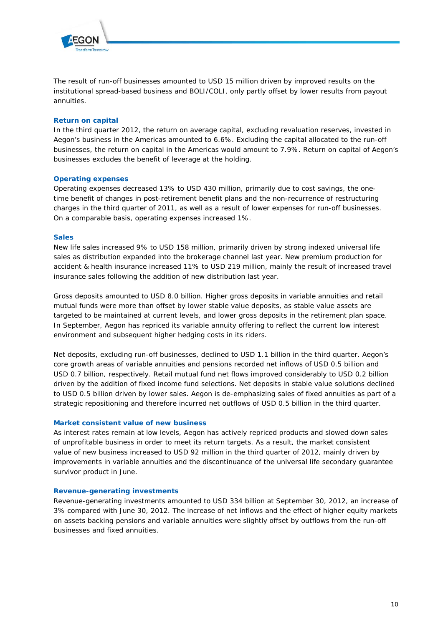

The result of run-off businesses amounted to USD 15 million driven by improved results on the institutional spread-based business and BOLI/COLI, only partly offset by lower results from payout annuities.

#### **Return on capital**

In the third quarter 2012, the return on average capital, excluding revaluation reserves, invested in Aegon's business in the Americas amounted to 6.6%. Excluding the capital allocated to the run-off businesses, the return on capital in the Americas would amount to 7.9%. Return on capital of Aegon's businesses excludes the benefit of leverage at the holding.

#### **Operating expenses**

Operating expenses decreased 13% to USD 430 million, primarily due to cost savings, the onetime benefit of changes in post-retirement benefit plans and the non-recurrence of restructuring charges in the third quarter of 2011, as well as a result of lower expenses for run-off businesses. On a comparable basis, operating expenses increased 1%.

#### **Sales**

New life sales increased 9% to USD 158 million, primarily driven by strong indexed universal life sales as distribution expanded into the brokerage channel last year. New premium production for accident & health insurance increased 11% to USD 219 million, mainly the result of increased travel insurance sales following the addition of new distribution last year.

Gross deposits amounted to USD 8.0 billion. Higher gross deposits in variable annuities and retail mutual funds were more than offset by lower stable value deposits, as stable value assets are targeted to be maintained at current levels, and lower gross deposits in the retirement plan space. In September, Aegon has repriced its variable annuity offering to reflect the current low interest environment and subsequent higher hedging costs in its riders.

Net deposits, excluding run-off businesses, declined to USD 1.1 billion in the third quarter. Aegon's core growth areas of variable annuities and pensions recorded net inflows of USD 0.5 billion and USD 0.7 billion, respectively. Retail mutual fund net flows improved considerably to USD 0.2 billion driven by the addition of fixed income fund selections. Net deposits in stable value solutions declined to USD 0.5 billion driven by lower sales. Aegon is de-emphasizing sales of fixed annuities as part of a strategic repositioning and therefore incurred net outflows of USD 0.5 billion in the third quarter.

#### **Market consistent value of new business**

As interest rates remain at low levels, Aegon has actively repriced products and slowed down sales of unprofitable business in order to meet its return targets. As a result, the market consistent value of new business increased to USD 92 million in the third quarter of 2012, mainly driven by improvements in variable annuities and the discontinuance of the universal life secondary guarantee survivor product in June.

#### **Revenue-generating investments**

Revenue-generating investments amounted to USD 334 billion at September 30, 2012, an increase of 3% compared with June 30, 2012. The increase of net inflows and the effect of higher equity markets on assets backing pensions and variable annuities were slightly offset by outflows from the run-off businesses and fixed annuities.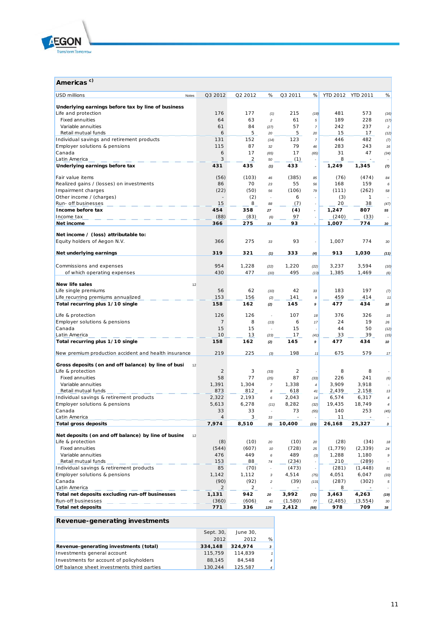

| Americas <sup>c)</sup>                                    |                |                |                |         |                |                   |              |                |
|-----------------------------------------------------------|----------------|----------------|----------------|---------|----------------|-------------------|--------------|----------------|
| <b>USD millions</b><br>Notes                              | Q3 2012        | Q2 2012        | %              | Q3 2011 | %              | YTD 2012 YTD 2011 |              | %              |
| Underlying earnings before tax by line of business        |                |                |                |         |                |                   |              |                |
| Life and protection                                       | 176            | 177            | (1)            | 215     | (18)           | 481               | 573          | (16)           |
| <b>Fixed annuities</b>                                    | 64             | 63             | $\overline{a}$ | 61      | 5              | 189               | 228          | (17)           |
| Variable annuities                                        | 61             | 84             | (27)           | 57      | $\overline{7}$ | 242               | 237          | $\overline{c}$ |
| Retail mutual funds                                       | 6              | 5              | 20             | 5       | 20             | 15                | 17           | (12)           |
| Individual savings and retirement products                | 131            | 152            | (14)           | 123     | $\overline{7}$ | 446               | 482          | (7)            |
| Employer solutions & pensions                             | 115            | 87             | 32             | 79      | 46             | 283               | 243          | 16             |
| Canada                                                    | 6              | 17             | (65)           | 17      | (65)           | 31                | 47           | (34)           |
| Latin America                                             | 3              | $\overline{c}$ | 50             | (1)     | ÷,             | 8                 |              |                |
| Underlying earnings before tax                            | 431            | 435            | (1)            | 433     | ÷              | 1,249             | 1,345        | (7)            |
| Fair value items                                          | (56)           | (103)          | 46             | (385)   | 85             | (76)              | (474)        | 84             |
| Realized gains / (losses) on investments                  | 86             | 70             | 23             | 55      | 56             | 168               | 159          | 6              |
| Impairment charges                                        | (22)           | (50)           | 56             | (106)   | 79             | (111)             | (262)        | 58             |
| Other income / (charges)                                  |                | (2)            |                | 6       |                | (3)               | $\mathbf{1}$ |                |
| Run- off businesses                                       | 15             | 8              | 88             | (7)     |                | 20                | 38           | (47)           |
| Income before tax                                         | 454            | 358            | 27             | (4)     |                | 1,247             | 807          | 55             |
| Income tax                                                | (88)           | (83)           | (6)            | 97      |                | (240)             | (33)         |                |
| Net income                                                | 366            | 275            | 33             | 93      | $\overline{a}$ | 1,007             | 774          | 30             |
|                                                           |                |                |                |         |                |                   |              |                |
| Net income / (loss) attributable to:                      |                |                |                |         |                |                   |              |                |
| Equity holders of Aegon N.V.                              | 366            | 275            | 33             | 93      |                | 1,007             | 774          | 30             |
| Net underlying earnings                                   | 319            | 321            | (1)            | 333     | (4)            | 913               | 1,030        | (11)           |
| Commissions and expenses                                  | 954            | 1,228          | (22)           | 1,220   | (22)           | 3,237             | 3,594        | (10)           |
| of which operating expenses                               | 430            | 477            | (10)           | 495     | (13)           | 1,385             | 1,469        | (6)            |
|                                                           |                |                |                |         |                |                   |              |                |
| <b>New life sales</b><br>12                               |                |                |                |         |                |                   |              |                |
| Life single premiums                                      | 56             | 62             | (10)           | 42      | 33             | 183               | 197          | (7)            |
| Life recurring premiums annualized                        | 153            | 156            | (2)            | 141     | 9              | 459               | 414          | 11             |
| Total recurring plus 1/10 single                          | 158            | 162            | (2)            | 145     | 9              | 477               | 434          | 10             |
| Life & protection                                         | 126            | 126            |                | 107     | 18             | 376               | 326          | 15             |
| Employer solutions & pensions                             | $\overline{7}$ | 8              | (13)           | 6       | 17             | 24                | 19           | 26             |
| Canada                                                    | 15             | 15             | $\bar{z}$      | 15      |                | 44                | 50           | (12)           |
| Latin America                                             | 10             | 13             | (23)           | 17      | (41)           | 33                | 39           | (15)           |
| Total recurring plus 1/10 single                          | 158            | 162            | (2)            | 145     | 9              | 477               | 434          | 10             |
| New premium production accident and health insurance      | 219            | 225            | (3)            | 198     | 11             | 675               | 579          | 17             |
| Gross deposits (on and off balance) by line of busi<br>12 |                |                |                |         |                |                   |              |                |
| Life & protection                                         | $\overline{c}$ | 3              | (33)           | 2       |                | 8                 | 8            |                |
| <b>Fixed annuities</b>                                    | 58             | 77             | (25)           | 87      | (33)           | 226               | 241          | (6)            |
| Variable annuities                                        | 1,391          | 1,304          | $\overline{7}$ | 1,338   | $\overline{4}$ | 3,909             | 3,918        |                |
| Retail mutual funds                                       | 873            | 812            | 8              | 618     | 41             | 2,439             | 2,158        | 13             |
| Individual savings & retirement products                  | 2,322          | 2,193          | 6              | 2,043   | 14             | 6,574             | 6,317        | 4              |
| Employer solutions & pensions                             | 5,613          | 6,278          | (11)           | 8,282   | (32)           | 19,435            | 18,749       | 4              |
| Canada                                                    | 33             | 33             |                | 73      | (55)           | 140               | 253          | (45)           |
| Latin America                                             | 4              | 3              | 33             |         |                | 11                |              |                |
| <b>Total gross deposits</b>                               | 7,974          | 8,510          | (6)            | 10,400  | (23)           | 26,168            | 25,327       | 3              |
|                                                           |                |                |                |         |                |                   |              |                |
| Net deposits (on and off balance) by line of busine<br>12 |                |                |                |         |                |                   |              |                |
| Life & protection                                         | (8)            | (10)           | 20             | (10)    | 20             | (28)              | (34)         | 18             |
| <b>Fixed annuities</b>                                    | (544)          | (607)          | 10             | (728)   | 25             | (1, 779)          | (2, 339)     | 24             |
| Variable annuities                                        | 476            | 449            | 6              | 489     | (3)            | 1,288             | 1,180        | 9              |
| Retail mutual funds                                       | 153            | 88             | 74             | (234)   |                | 210               | (289)        |                |
| Individual savings & retirement products                  | 85             | (70)           |                | (473)   |                | (281)             | (1, 448)     | 81             |
| Employer solutions & pensions                             | 1,142          | 1,112          | $\sqrt{3}$     | 4,514   | (75)           | 4,051             | 6,047        | (33)           |
| Canada                                                    | (90)           | (92)           | $\overline{a}$ | (39)    | (131)          | (287)             | (302)        | $\sqrt{5}$     |
| Latin America                                             | $\overline{2}$ | $^{2}$         |                |         |                | 8                 |              |                |
| Total net deposits excluding run-off businesses           | 1,131          | 942            | 20             | 3,992   | (72)           | 3,463             | 4,263        | (19)           |
| Run-off businesses                                        | (360)          | (606)          | $41\,$         | (1,580) | 77             | (2, 485)          | (3, 554)     | 30             |
| <b>Total net deposits</b>                                 | 771            | 336            | 129            | 2,412   | (68)           | 978               | 709          | 38             |

## **Revenue-generating investments**

|                                             | Sept. 30, | June 30. |                |
|---------------------------------------------|-----------|----------|----------------|
|                                             | 2012      | 2012     | $\%$           |
| Revenue-generating investments (total)      | 334.148   | 324.974  | $\mathbf{3}$   |
| Investments general account                 | 115.759   | 114.839  |                |
| Investments for account of policyholders    | 88.145    | 84.548   | $\overline{4}$ |
| Off balance sheet investments third parties | 130.244   | 125,587  | $\overline{4}$ |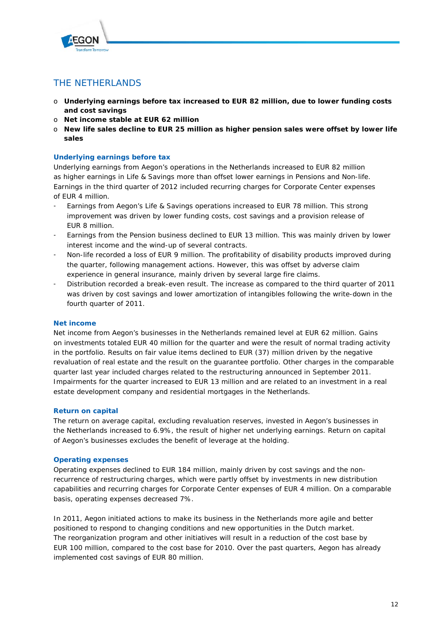

## THE NETHERLANDS

- o **Underlying earnings before tax increased to EUR 82 million, due to lower funding costs and cost savings**
- o **Net income stable at EUR 62 million**
- o **New life sales decline to EUR 25 million as higher pension sales were offset by lower life sales**

#### **Underlying earnings before tax**

Underlying earnings from Aegon's operations in the Netherlands increased to EUR 82 million as higher earnings in Life & Savings more than offset lower earnings in Pensions and Non-life. Earnings in the third quarter of 2012 included recurring charges for Corporate Center expenses of EUR 4 million.

- Earnings from Aegon's Life & Savings operations increased to EUR 78 million. This strong improvement was driven by lower funding costs, cost savings and a provision release of EUR 8 million.
- Earnings from the Pension business declined to EUR 13 million. This was mainly driven by lower interest income and the wind-up of several contracts.
- Non-life recorded a loss of EUR 9 million. The profitability of disability products improved during the quarter, following management actions. However, this was offset by adverse claim experience in general insurance, mainly driven by several large fire claims.
- Distribution recorded a break-even result. The increase as compared to the third quarter of 2011 was driven by cost savings and lower amortization of intangibles following the write-down in the fourth quarter of 2011.

#### **Net income**

Net income from Aegon's businesses in the Netherlands remained level at EUR 62 million. Gains on investments totaled EUR 40 million for the quarter and were the result of normal trading activity in the portfolio. Results on fair value items declined to EUR (37) million driven by the negative revaluation of real estate and the result on the guarantee portfolio. Other charges in the comparable quarter last year included charges related to the restructuring announced in September 2011. Impairments for the quarter increased to EUR 13 million and are related to an investment in a real estate development company and residential mortgages in the Netherlands.

#### **Return on capital**

The return on average capital, excluding revaluation reserves, invested in Aegon's businesses in the Netherlands increased to 6.9%, the result of higher net underlying earnings. Return on capital of Aegon's businesses excludes the benefit of leverage at the holding.

#### **Operating expenses**

Operating expenses declined to EUR 184 million, mainly driven by cost savings and the nonrecurrence of restructuring charges, which were partly offset by investments in new distribution capabilities and recurring charges for Corporate Center expenses of EUR 4 million. On a comparable basis, operating expenses decreased 7%.

In 2011, Aegon initiated actions to make its business in the Netherlands more agile and better positioned to respond to changing conditions and new opportunities in the Dutch market. The reorganization program and other initiatives will result in a reduction of the cost base by EUR 100 million, compared to the cost base for 2010. Over the past quarters, Aegon has already implemented cost savings of EUR 80 million.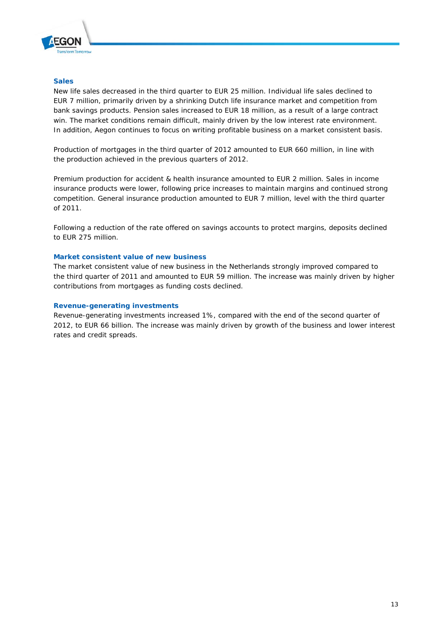

#### **Sales**

New life sales decreased in the third quarter to EUR 25 million. Individual life sales declined to EUR 7 million, primarily driven by a shrinking Dutch life insurance market and competition from bank savings products. Pension sales increased to EUR 18 million, as a result of a large contract win. The market conditions remain difficult, mainly driven by the low interest rate environment. In addition, Aegon continues to focus on writing profitable business on a market consistent basis.

Production of mortgages in the third quarter of 2012 amounted to EUR 660 million, in line with the production achieved in the previous quarters of 2012.

Premium production for accident & health insurance amounted to EUR 2 million. Sales in income insurance products were lower, following price increases to maintain margins and continued strong competition. General insurance production amounted to EUR 7 million, level with the third quarter of 2011.

Following a reduction of the rate offered on savings accounts to protect margins, deposits declined to EUR 275 million.

#### **Market consistent value of new business**

The market consistent value of new business in the Netherlands strongly improved compared to the third quarter of 2011 and amounted to EUR 59 million. The increase was mainly driven by higher contributions from mortgages as funding costs declined.

#### **Revenue-generating investments**

Revenue-generating investments increased 1%, compared with the end of the second quarter of 2012, to EUR 66 billion. The increase was mainly driven by growth of the business and lower interest rates and credit spreads.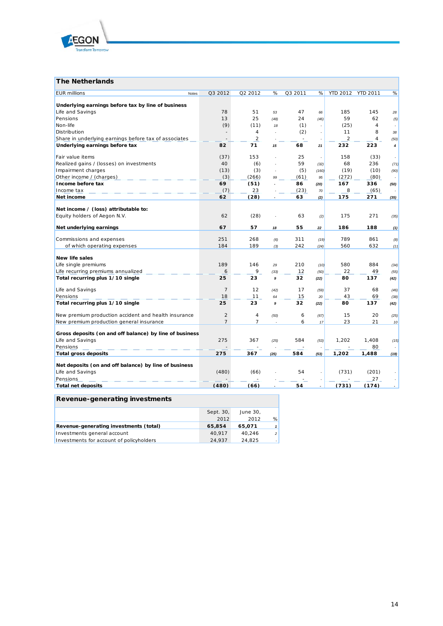

## **The Netherlands**

| <b>EUR</b> millions<br>Notes                            | Q3 2012        | Q2 2012        | %    | Q3 2011 | %     | YTD 2012 YTD 2011 |                      | %    |
|---------------------------------------------------------|----------------|----------------|------|---------|-------|-------------------|----------------------|------|
|                                                         |                |                |      |         |       |                   |                      |      |
| Underlying earnings before tax by line of business      | 78             | 51             |      |         |       | 185               | 145                  |      |
| Life and Savings                                        |                | 25             | 53   | 47      | 66    |                   |                      | 28   |
| Pensions                                                | 13             |                | (48) | 24      | (46)  | 59                | 62<br>$\overline{4}$ | (5)  |
| Non-life                                                | (9)            | (11)           | 18   | (1)     | ÷,    | (25)              |                      |      |
| Distribution                                            |                | $\overline{4}$ |      | (2)     | ÷,    | 11                | 8                    | 38   |
| Share in underlying earnings before tax of associates   |                | $\overline{2}$ |      |         |       | $\overline{2}$    | 4                    | (50) |
| Underlying earnings before tax                          | 82             | 71             | 15   | 68      | 21    | 232               | 223                  | 4    |
| Fair value items                                        | (37)           | 153            |      | 25      |       | 158               | (33)                 |      |
| Realized gains / (losses) on investments                | 40             | (6)            |      | 59      | (32)  | 68                | 236                  | (71) |
| Impairment charges                                      | (13)           | (3)            |      | (5)     | (160) | (19)              | (10)                 | (90) |
| Other income / (charges)                                | (3)            | (266)          | 99   | (61)    | 95    | (272)             | (80)                 |      |
| Income before tax                                       | 69             | (51)           |      | 86      | (20)  | 167               | 336                  | (50) |
| Income tax                                              | (7)            | 23             |      | (23)    | 70    | 8                 | (65)                 |      |
| Net income                                              | 62             | (28)           |      | 63      | (2)   | 175               | 271                  | (35) |
|                                                         |                |                |      |         |       |                   |                      |      |
| Net income / (loss) attributable to:                    |                |                |      |         |       |                   |                      |      |
| Equity holders of Aegon N.V.                            | 62             | (28)           |      | 63      | (2)   | 175               | 271                  | (35) |
| Net underlying earnings                                 | 67             | 57             | 18   | 55      | 22    | 186               | 188                  | (1)  |
|                                                         |                |                |      |         |       |                   |                      |      |
| Commissions and expenses                                | 251            | 268            | (6)  | 311     | (19)  | 789               | 861                  | (8)  |
| of which operating expenses                             | 184            | 189            | (3)  | 242     | (24)  | 560               | 632                  | (11) |
| <b>New life sales</b>                                   |                |                |      |         |       |                   |                      |      |
| Life single premiums                                    | 189            | 146            | 29   | 210     | (10)  | 580               | 884                  | (34) |
| Life recurring premiums annualized                      | 6              | 9              | (33) | 12      | (50)  | 22                | 49                   | (55) |
| Total recurring plus 1/10 single                        | 25             | 23             | 9    | 32      | (22)  | 80                | 137                  | (42) |
|                                                         |                |                |      |         |       |                   |                      |      |
| Life and Savings                                        | $\overline{7}$ | 12             | (42) | 17      | (59)  | 37                | 68                   | (46) |
| Pensions                                                | 18             | 11             | 64   | 15      | 20    | 43                | 69                   | (38) |
| Total recurring plus 1/10 single                        | 25             | 23             | 9    | 32      | (22)  | 80                | 137                  | (42) |
| New premium production accident and health insurance    | $\overline{2}$ | $\overline{4}$ | (50) | 6       | (67)  | 15                | 20                   | (25) |
| New premium production general insurance                | $\overline{7}$ | $\overline{7}$ |      | 6       | 17    | 23                | 21                   | 10   |
|                                                         |                |                |      |         |       |                   |                      |      |
| Gross deposits (on and off balance) by line of business |                |                |      |         |       |                   |                      |      |
| Life and Savings                                        | 275            | 367            | (25) | 584     | (53)  | 1,202             | 1,408                | (15) |
| Pensions                                                |                |                |      |         |       |                   | 80                   |      |
| <b>Total gross deposits</b>                             | 275            | 367            | (25) | 584     | (53)  | 1,202             | 1,488                | (19) |
|                                                         |                |                |      |         |       |                   |                      |      |
| Net deposits (on and off balance) by line of business   |                |                |      |         |       |                   |                      |      |
| Life and Savings                                        | (480)          | (66)           |      | 54      |       | (731)             | (201)                |      |
| Pensions<br><b>Total net deposits</b>                   | (480)          | (66)           |      | 54      |       | (731)             | 27<br>(174)          |      |
|                                                         |                |                |      |         |       |                   |                      |      |

## **Revenue-generating investments**

|                                          | Sept. 30, | June 30. |                          |
|------------------------------------------|-----------|----------|--------------------------|
|                                          | 2012      | 2012     | $\%$                     |
| Revenue-generating investments (total)   | 65.854    | 65.071   |                          |
| Investments general account              | 40.917    | 40.246   | $\overline{\phantom{a}}$ |
| Investments for account of policyholders | 24.937    | 24.825   |                          |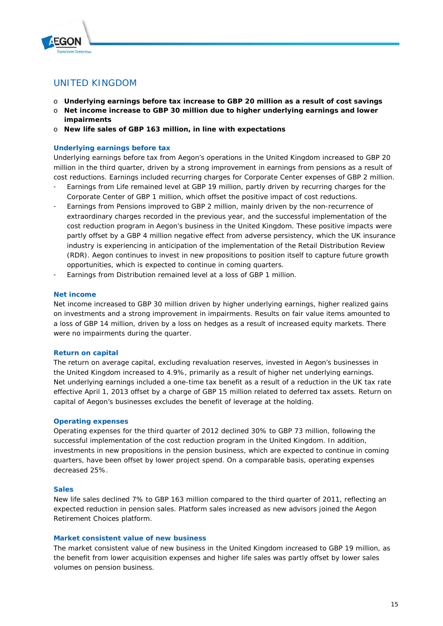

## UNITED KINGDOM

- o **Underlying earnings before tax increase to GBP 20 million as a result of cost savings**
- o **Net income increase to GBP 30 million due to higher underlying earnings and lower impairments**
- o **New life sales of GBP 163 million, in line with expectations**

#### **Underlying earnings before tax**

Underlying earnings before tax from Aegon's operations in the United Kingdom increased to GBP 20 million in the third quarter, driven by a strong improvement in earnings from pensions as a result of cost reductions. Earnings included recurring charges for Corporate Center expenses of GBP 2 million.

- Earnings from Life remained level at GBP 19 million, partly driven by recurring charges for the Corporate Center of GBP 1 million, which offset the positive impact of cost reductions.
- Earnings from Pensions improved to GBP 2 million, mainly driven by the non-recurrence of extraordinary charges recorded in the previous year, and the successful implementation of the cost reduction program in Aegon's business in the United Kingdom. These positive impacts were partly offset by a GBP 4 million negative effect from adverse persistency, which the UK insurance industry is experiencing in anticipation of the implementation of the Retail Distribution Review (RDR). Aegon continues to invest in new propositions to position itself to capture future growth opportunities, which is expected to continue in coming quarters.
- Earnings from Distribution remained level at a loss of GBP 1 million.

#### **Net income**

Net income increased to GBP 30 million driven by higher underlying earnings, higher realized gains on investments and a strong improvement in impairments. Results on fair value items amounted to a loss of GBP 14 million, driven by a loss on hedges as a result of increased equity markets. There were no impairments during the quarter.

#### **Return on capital**

The return on average capital, excluding revaluation reserves, invested in Aegon's businesses in the United Kingdom increased to 4.9%, primarily as a result of higher net underlying earnings. Net underlying earnings included a one-time tax benefit as a result of a reduction in the UK tax rate effective April 1, 2013 offset by a charge of GBP 15 million related to deferred tax assets. Return on capital of Aegon's businesses excludes the benefit of leverage at the holding.

#### **Operating expenses**

Operating expenses for the third quarter of 2012 declined 30% to GBP 73 million, following the successful implementation of the cost reduction program in the United Kingdom. In addition, investments in new propositions in the pension business, which are expected to continue in coming quarters, have been offset by lower project spend. On a comparable basis, operating expenses decreased 25%.

#### **Sales**

New life sales declined 7% to GBP 163 million compared to the third quarter of 2011, reflecting an expected reduction in pension sales. Platform sales increased as new advisors joined the Aegon Retirement Choices platform.

#### **Market consistent value of new business**

The market consistent value of new business in the United Kingdom increased to GBP 19 million, as the benefit from lower acquisition expenses and higher life sales was partly offset by lower sales volumes on pension business.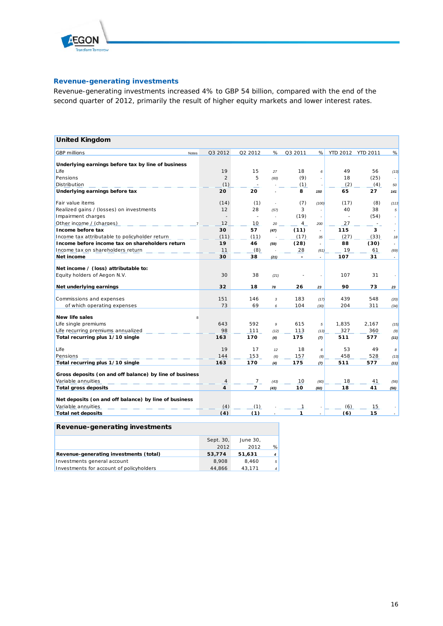

## **Revenue-generating investments**

Revenue-generating investments increased 4% to GBP 54 billion, compared with the end of the second quarter of 2012, primarily the result of higher equity markets and lower interest rates.

| <b>United Kingdom</b>                                      |                         |                |      |          |                          |                   |           |       |
|------------------------------------------------------------|-------------------------|----------------|------|----------|--------------------------|-------------------|-----------|-------|
| <b>GBP</b> millions                                        | Q3 2012<br>Notes        | Q2 2012        | %    | Q3 2011  | %                        | YTD 2012 YTD 2011 |           | %     |
|                                                            |                         |                |      |          |                          |                   |           |       |
| Underlying earnings before tax by line of business<br>Life | 19                      | 15             |      | 18       |                          | 49                | 56        |       |
|                                                            | 2                       | 5              | 27   |          | 6                        |                   | (25)      | (13)  |
| Pensions<br>Distribution                                   | (1)                     |                | (60) | (9)      |                          | 18<br>(2)         |           |       |
|                                                            | 20                      | 20             |      | (1)<br>8 |                          | 65                | (4)<br>27 | 50    |
| Underlying earnings before tax                             |                         |                |      |          | 150                      |                   |           | 141   |
| Fair value items                                           | (14)                    | (1)            |      | (7)      | (100)                    | (17)              | (8)       | (113) |
| Realized gains / (losses) on investments                   | 12                      | 28             | (57) | 3        |                          | 40                | 38        | 5     |
| Impairment charges                                         |                         | $\sim$         |      | (19)     | ÷.                       |                   | (54)      |       |
| Other income / (charges)                                   | 12                      | 10             | 20   | 4        | 200                      | 27                |           |       |
| Income before tax                                          | 30                      | 57             | (47) | (11)     | $\overline{\phantom{a}}$ | 115               | 3         |       |
| Income tax attributable to policyholder return             | (11)                    | (11)           |      | (17)     | 35                       | (27)              | (33)      | 18    |
| Income before income tax on shareholders return            | 19                      | 46             | (59) | (28)     | $\overline{\phantom{a}}$ | 88                | (30)      |       |
| Income tax on shareholders return                          | 11                      | (8)            |      | 28       | (61)                     | 19                | 61        | (69)  |
| Net income                                                 | 30                      | 38             | (21) |          | $\overline{\phantom{a}}$ | 107               | 31        |       |
|                                                            |                         |                |      |          |                          |                   |           |       |
| Net income / (loss) attributable to:                       | 30                      | 38             |      |          |                          | 107               | 31        |       |
| Equity holders of Aegon N.V.                               |                         |                | (21) |          |                          |                   |           |       |
| Net underlying earnings                                    | 32                      | 18             | 78   | 26       | 23                       | 90                | 73        | 23    |
| Commissions and expenses                                   | 151                     | 146            | 3    | 183      | (17)                     | 439               | 548       | (20)  |
| of which operating expenses                                | 73                      | 69             | 6    | 104      | (30)                     | 204               | 311       | (34)  |
|                                                            |                         |                |      |          |                          |                   |           |       |
| New life sales                                             | 8                       |                |      |          |                          |                   |           |       |
| Life single premiums                                       | 643                     | 592            | 9    | 615      | 5                        | 1,835             | 2,167     | (15)  |
| Life recurring premiums annualized                         | 98                      | 111            | (12) | 113      | (13)                     | 327               | 360       | (9)   |
| Total recurring plus 1/10 single                           | 163                     | 170            | (4)  | 175      | (7)                      | 511               | 577       | (11)  |
| Life                                                       | 19                      | 17             | 12   | 18       | 6                        | 53                | 49        | 8     |
| Pensions                                                   | 144                     | 153            | (6)  | 157      | (8)                      | 458               | 528       | (13)  |
| Total recurring plus 1/10 single                           | 163                     | 170            | (4)  | 175      | (7)                      | 511               | 577       | (11)  |
|                                                            |                         |                |      |          |                          |                   |           |       |
| Gross deposits (on and off balance) by line of business    |                         |                |      |          |                          |                   |           |       |
| Variable annuities                                         | 4                       | $\overline{7}$ | (43) | 10       | (60)                     | 18                | 41        | (56)  |
| <b>Total gross deposits</b>                                | $\overline{\mathbf{4}}$ | 7              | (43) | 10       | (60)                     | 18                | 41        | (56)  |
| Net deposits (on and off balance) by line of business      |                         |                |      |          |                          |                   |           |       |
| Variable annuities                                         | (4)                     | (1)            |      | 1        |                          | (6)               | 15        |       |
| <b>Total net deposits</b>                                  | (4)                     | (1)            |      | 1        |                          | (6)               | 15        |       |

| Revenue-generating investments           |                   |                  |                |
|------------------------------------------|-------------------|------------------|----------------|
|                                          | Sept. 30,<br>2012 | June 30.<br>2012 | $\%$           |
| Revenue-generating investments (total)   | 53,774            | 51,631           | $\overline{4}$ |
| Investments general account              | 8.908             | 8.460            | $5^{\circ}$    |
| Investments for account of policyholders | 44,866            | 43.171           | $\overline{4}$ |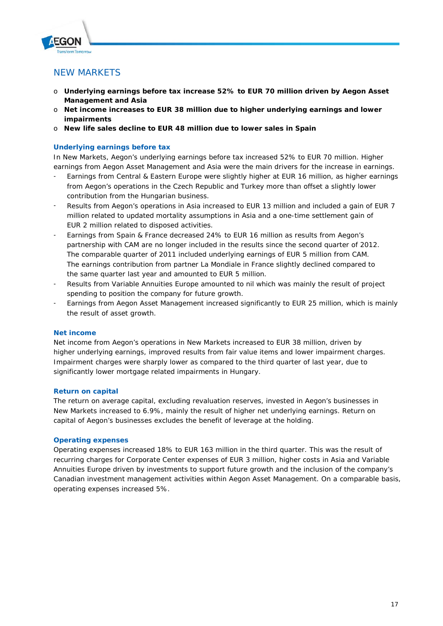# NEW MARKETS

- o **Underlying earnings before tax increase 52% to EUR 70 million driven by Aegon Asset Management and Asia**
- o **Net income increases to EUR 38 million due to higher underlying earnings and lower impairments**
- o **New life sales decline to EUR 48 million due to lower sales in Spain**

#### **Underlying earnings before tax**

In New Markets, Aegon's underlying earnings before tax increased 52% to EUR 70 million. Higher earnings from Aegon Asset Management and Asia were the main drivers for the increase in earnings.

- Earnings from Central & Eastern Europe were slightly higher at EUR 16 million, as higher earnings from Aegon's operations in the Czech Republic and Turkey more than offset a slightly lower contribution from the Hungarian business.
- Results from Aegon's operations in Asia increased to EUR 13 million and included a gain of EUR 7 million related to updated mortality assumptions in Asia and a one-time settlement gain of EUR 2 million related to disposed activities.
- Earnings from Spain & France decreased 24% to EUR 16 million as results from Aegon's partnership with CAM are no longer included in the results since the second quarter of 2012. The comparable quarter of 2011 included underlying earnings of EUR 5 million from CAM. The earnings contribution from partner La Mondiale in France slightly declined compared to the same quarter last year and amounted to EUR 5 million.
- Results from Variable Annuities Europe amounted to nil which was mainly the result of project spending to position the company for future growth.
- Earnings from Aegon Asset Management increased significantly to EUR 25 million, which is mainly the result of asset growth.

#### **Net income**

Net income from Aegon's operations in New Markets increased to EUR 38 million, driven by higher underlying earnings, improved results from fair value items and lower impairment charges. Impairment charges were sharply lower as compared to the third quarter of last year, due to significantly lower mortgage related impairments in Hungary.

#### **Return on capital**

The return on average capital, excluding revaluation reserves, invested in Aegon's businesses in New Markets increased to 6.9%, mainly the result of higher net underlying earnings. Return on capital of Aegon's businesses excludes the benefit of leverage at the holding.

#### **Operating expenses**

Operating expenses increased 18% to EUR 163 million in the third quarter. This was the result of recurring charges for Corporate Center expenses of EUR 3 million, higher costs in Asia and Variable Annuities Europe driven by investments to support future growth and the inclusion of the company's Canadian investment management activities within Aegon Asset Management. On a comparable basis, operating expenses increased 5%.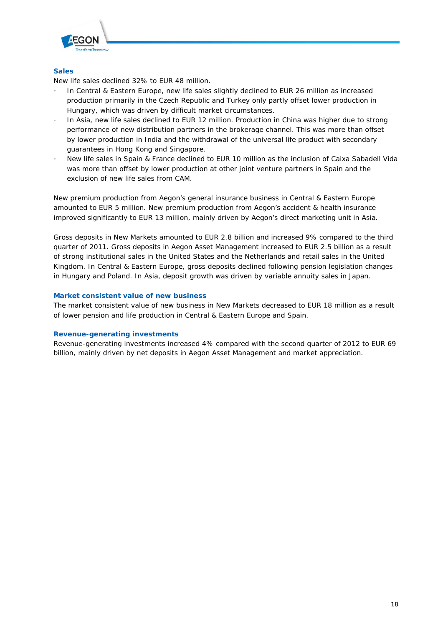

#### **Sales**

New life sales declined 32% to EUR 48 million.

- In Central & Eastern Europe, new life sales slightly declined to EUR 26 million as increased production primarily in the Czech Republic and Turkey only partly offset lower production in Hungary, which was driven by difficult market circumstances.
- In Asia, new life sales declined to EUR 12 million. Production in China was higher due to strong performance of new distribution partners in the brokerage channel. This was more than offset by lower production in India and the withdrawal of the universal life product with secondary guarantees in Hong Kong and Singapore.
- New life sales in Spain & France declined to EUR 10 million as the inclusion of Caixa Sabadell Vida was more than offset by lower production at other joint venture partners in Spain and the exclusion of new life sales from CAM.

New premium production from Aegon's general insurance business in Central & Eastern Europe amounted to EUR 5 million. New premium production from Aegon's accident & health insurance improved significantly to EUR 13 million, mainly driven by Aegon's direct marketing unit in Asia.

Gross deposits in New Markets amounted to EUR 2.8 billion and increased 9% compared to the third quarter of 2011. Gross deposits in Aegon Asset Management increased to EUR 2.5 billion as a result of strong institutional sales in the United States and the Netherlands and retail sales in the United Kingdom. In Central & Eastern Europe, gross deposits declined following pension legislation changes in Hungary and Poland. In Asia, deposit growth was driven by variable annuity sales in Japan.

#### **Market consistent value of new business**

The market consistent value of new business in New Markets decreased to EUR 18 million as a result of lower pension and life production in Central & Eastern Europe and Spain.

#### **Revenue-generating investments**

Revenue-generating investments increased 4% compared with the second quarter of 2012 to EUR 69 billion, mainly driven by net deposits in Aegon Asset Management and market appreciation.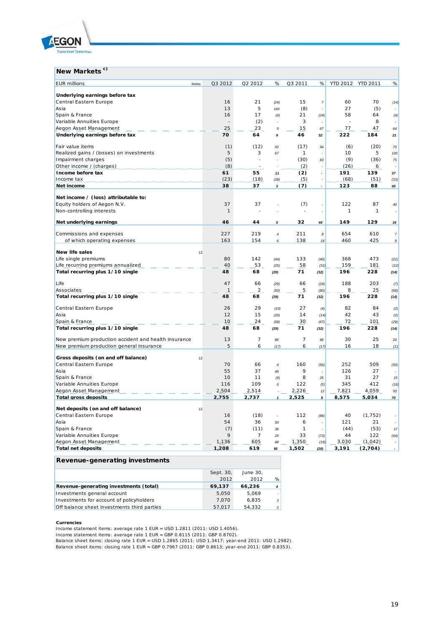

## **New Markets<sup>c)</sup>**

| <b>EUR</b> millions<br>Notes                         | Q3 2012       | Q2 2012        | %                   | Q3 2011        | %                        |              | YTD 2012 YTD 2011 | %              |
|------------------------------------------------------|---------------|----------------|---------------------|----------------|--------------------------|--------------|-------------------|----------------|
| Underlying earnings before tax                       |               |                |                     |                |                          |              |                   |                |
| Central Eastern Europe                               | 16            | 21             | (24)                | 15             | $\overline{7}$           | 60           | 70                | (14)           |
| Asia                                                 | 13            | 5              | 160                 | (8)            |                          | 27           | (5)               |                |
| Spain & France                                       | 16            | 17             | (6)                 | 21             | (24)                     | 58           | 64                | (9)            |
| Variable Annuities Europe                            |               | (2)            | ÷,                  | 3              |                          |              | 8                 |                |
| Aegon Asset Management                               | 25            | 23             | 9                   | 15             | 67                       | 77           | 47                | 64             |
| Underlying earnings before tax                       | 70            | 64             | 9                   | 46             | 52                       | 222          | 184               | 21             |
| Fair value items                                     | (1)           | (12)           | 92                  | (17)           | 94                       | (6)          | (20)              | 70             |
| Realized gains / (losses) on investments             | 5             | 3              | 67                  | $\mathbf{1}$   |                          | 10           | 5                 | 100            |
| Impairment charges                                   | (5)           |                |                     | (30)           | 83                       | (9)          | (36)              | 75             |
| Other income / (charges)                             | (8)           |                |                     | (2)            |                          | (26)         | 6                 |                |
| Income before tax                                    | 61            | 55             | 11                  | (2)            | $\overline{\phantom{a}}$ | 191          | 139               | 37             |
| Income tax                                           | (23)          | (18)           | (28)                | (5)            |                          | (68)         | (51)              | (33)           |
| Net income                                           | 38            | 37             | 3                   | (7)            | $\overline{a}$           | 123          | 88                | 40             |
| Net income / (loss) attributable to:                 |               |                |                     |                |                          |              |                   |                |
| Equity holders of Aegon N.V.                         | 37            | 37             |                     |                |                          | 122          | 87                | 40             |
| Non-controlling interests                            | $\mathcal{I}$ |                |                     | (7)            | ÷,                       | $\mathcal I$ | 1                 |                |
|                                                      |               |                |                     |                |                          |              |                   |                |
| Net underlying earnings                              | 46            | 44             | 5                   | 32             | 44                       | 149          | 129               | 16             |
| Commissions and expenses                             | 227           | 219            | $\overline{4}$      | 211            | 8                        | 654          | 610               | $\overline{7}$ |
| of which operating expenses                          | 163           | 154            | 6                   | 138            | 18                       | 460          | 425               | 8              |
| New life sales                                       | 12            |                |                     |                |                          |              |                   |                |
| Life single premiums                                 | 80            | 142            | (44)                | 133            | (40)                     | 368          | 473               | (22)           |
| Life recurring premiums annualized                   | 40            | 53             | (25)                | 58             | (31)                     | 159          | 181               | (12)           |
| Total recurring plus 1/10 single                     | 48            | 68             | (29)                | 71             | (32)                     | 196          | 228               | (14)           |
|                                                      |               |                |                     |                |                          |              |                   |                |
| Life                                                 | 47            | 66             | (29)                | 66             | (29)                     | 188          | 203               | (7)            |
| Associates                                           | $\mathbf{1}$  | 2              | (50)                | 5              | (80)                     | 8            | 25                | (68)           |
| Total recurring plus 1/10 single                     | 48            | 68             | (29)                | 71             | (32)                     | 196          | 228               | (14)           |
| Central Eastern Europe                               | 26            | 29             | (10)                | 27             | (4)                      | 82           | 84                | (2)            |
| Asia                                                 | 12            | 15             | (20)                | 14             | (14)                     | 42           | 43                | (2)            |
| Spain & France                                       | 10            | 24             | (58)                | 30             | (67)                     | 72           | 101               | (29)           |
| Total recurring plus 1/10 single                     | 48            | 68             | (29)                | 71             | (32)                     | 196          | 228               | (14)           |
| New premium production accident and health insurance | 13            | $\overline{7}$ | 86                  | $\overline{7}$ | 86                       | 30           | 25                | 20             |
| New premium production general insurance             | 5             | 6              | (17)                | 6              | (17)                     | 16           | 18                | (11)           |
| Gross deposits (on and off balance)                  | 12            |                |                     |                |                          |              |                   |                |
| Central Eastern Europe                               | 70            | 66             | 6                   | 160            | (56)                     | 252          | 509               | (50)           |
| Asia                                                 | 55            | 37             | 49                  | 9              |                          | 126          | 27                |                |
| Spain & France                                       | 10            | 11             | (9)                 | 8              | 25                       | 31           | 27                | 15             |
| Variable Annuities Europe                            | 116           | 109            | 6                   | 122            | (5)                      | 345          | 412               | (16)           |
| Aegon Asset Management                               | 2,504         | 2,514          |                     | 2,226          | 12                       | 7,821        | 4,059             | 93             |
| <b>Total gross deposits</b>                          | 2,755         | 2,737          | $\pmb{\mathcal{I}}$ | 2,525          | 9                        | 8,575        | 5,034             | 70             |
|                                                      |               |                |                     |                |                          |              |                   |                |
| Net deposits (on and off balance)<br>12              |               |                |                     |                |                          |              |                   |                |
| Central Eastern Europe                               | 16            | (18)           | ÷,                  | 112            | (86)                     | 40           | (1, 752)          |                |
| Asia                                                 | 54            | 36             | 50                  | 6              | ÷.                       | 121          | 21                |                |
| Spain & France                                       | (7)           | (11)           | 36                  | $\mathbf{1}$   |                          | (44)         | (53)              | 17             |
| Variable Annuities Europe                            | $\mathsf Q$   | $\overline{7}$ | 29                  | 33             | (73)                     | 44           | 122               | (64)           |
| Aegon Asset Management                               | 1,136         | 605            | 88                  | 1,350          | (16)                     | 3,030        | (1,042)           |                |
| <b>Total net deposits</b>                            | 1,208         | 619            | 95                  | 1,502          | (20)                     | 3,191        | (2,704)           |                |

### **Revenue-generating investments**

|                                             | Sept. 30, | June 30. |         |
|---------------------------------------------|-----------|----------|---------|
|                                             | 2012      | 2012     | %       |
| Revenue-generating investments (total)      | 69,137    | 66.236   | 4       |
| Investments general account                 | 5.050     | 5.069    |         |
| Investments for account of policyholders    | 7.070     | 6.835    | $\cdot$ |
| Off balance sheet investments third parties | 57.017    | 54.332   | 5       |

#### **Currencies**

Income statement items: average rate 1 EUR = USD 1.2811 (2011: USD 1.4056).

Income statement items: average rate 1 EUR = GBP 0.8115 (2011: GBP 0.8702).

Balance sheet items: closing rate 1 EUR = USD 1.2865 (2011: USD 1.3417; year-end 2011: USD 1.2982). Balance sheet items: closing rate 1 EUR = GBP 0.7967 (2011: GBP 0.8613; year-end 2011: GBP 0.8353).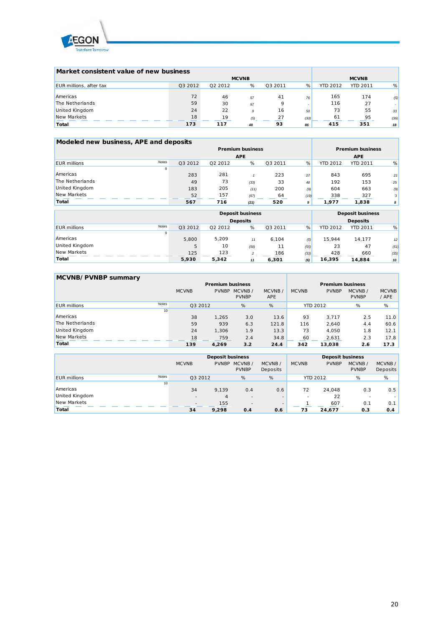

| Market consistent value of new business |         |                     |     |         |      |                 |                 |      |
|-----------------------------------------|---------|---------------------|-----|---------|------|-----------------|-----------------|------|
| <b>MCVNB</b>                            |         |                     |     |         |      |                 | <b>MCVNB</b>    |      |
| EUR millions, after tax                 | Q3 2012 | Q <sub>2</sub> 2012 | %   | Q3 2011 | %    | <b>YTD 2012</b> | <b>YTD 2011</b> | %    |
|                                         |         |                     |     |         |      |                 |                 |      |
| Americas                                | 72      | 46                  | 57  | 41      | 76   | 165             | 174             | (5)  |
| The Netherlands                         | 59      | 30                  | 97  |         |      | 116             | 27              |      |
| United Kingdom                          | 24      | 22                  | 9   | 16      | 50   | 73              | 55              | 33   |
| New Markets                             | 18      | 19                  | (5) | 27      | (33) | 61              | 95              | (36) |
| Total                                   | 173     | 117                 | 48  | 93      | 86   | 415             | 351             | 18   |

| Modeled new business, APE and deposits |       |         |         |            |         |      |                 |                         |     |  |
|----------------------------------------|-------|---------|---------|------------|---------|------|-----------------|-------------------------|-----|--|
| <b>Premium business</b>                |       |         |         |            |         |      |                 | <b>Premium business</b> |     |  |
|                                        |       |         |         | <b>APE</b> |         |      |                 | <b>APE</b>              |     |  |
| <b>EUR millions</b>                    | Notes | Q3 2012 | Q2 2012 | %          | Q3 2011 | %    | <b>YTD 2012</b> | <b>YTD 2011</b>         | %   |  |
|                                        | 9     |         |         |            |         |      |                 |                         |     |  |
| Americas                               |       | 283     | 281     |            | 223     | 27   | 843             | 695                     | 21  |  |
| The Netherlands                        |       | 49      | 73      | (33)       | 33      | 48   | 192             | 153                     | 25  |  |
| United Kingdom                         |       | 183     | 205     | (11)       | 200     | (9)  | 604             | 663                     | (9) |  |
| New Markets                            |       | 52      | 157     | (67)       | 64      | (19) | 338             | 327                     | 3   |  |
| Total                                  |       | 567     | 716     | (21)       | 520     | 9    | 1.977           | 1,838                   | 8   |  |

|                     |       |         | <b>Deposit business</b> | <b>Deposit business</b> |         |      |                 |                 |      |  |
|---------------------|-------|---------|-------------------------|-------------------------|---------|------|-----------------|-----------------|------|--|
|                     |       |         | <b>Deposits</b>         |                         |         |      |                 | <b>Deposits</b> |      |  |
| <b>EUR</b> millions | Notes | Q3 2012 | Q2 2012                 | %                       | Q3 2011 | %    | <b>YTD 2012</b> | <b>YTD 2011</b> | %    |  |
|                     | 9     |         |                         |                         |         |      |                 |                 |      |  |
| Americas            |       | 5.800   | 5.209                   | 11                      | 6.104   | (5)  | 15.944          | 14,177          | 12   |  |
| United Kingdom      |       | 5       | 10                      | (50)                    | 11      | (55) | 23              | 47              | (51) |  |
| New Markets         |       | 125     | 123                     |                         | 186     | (33) | 428             | 660             | (35) |  |
| Total               |       | 5,930   | 5,342                   | 11                      | 6.301   | (6)  | 16,395          | 14,884          | 10   |  |

| MCVNB/PVNBP summary |       |              |              |                         |                      |                         |                 |                        |                       |
|---------------------|-------|--------------|--------------|-------------------------|----------------------|-------------------------|-----------------|------------------------|-----------------------|
|                     |       |              |              | <b>Premium business</b> |                      | <b>Premium business</b> |                 |                        |                       |
|                     |       | <b>MCVNB</b> | <b>PVNBP</b> | MCVNB/<br><b>PVNBP</b>  | MCVNB/<br><b>APE</b> | <b>MCVNB</b>            | <b>PVNBP</b>    | MCVNB/<br><b>PVNBP</b> | <b>MCVNB</b><br>/ APE |
| <b>EUR</b> millions | Notes | Q3 2012      |              | %                       | %                    |                         | <b>YTD 2012</b> | %                      | %                     |
|                     | 10    |              |              |                         |                      |                         |                 |                        |                       |
| Americas            |       | 38           | 1.265        | 3.0                     | 13.6                 | 93                      | 3.717           | 2.5                    | 11.0                  |
| The Netherlands     |       | 59           | 939          | 6.3                     | 121.8                | 116                     | 2.640           | 4.4                    | 60.6                  |
| United Kingdom      |       | 24           | 1.306        | 1.9                     | 13.3                 | 73                      | 4.050           | 1.8                    | 12.1                  |
| New Markets         |       | 18           | 759          | 2.4                     | 34.8                 | 60                      | 2,631           | 2.3                    | 17.8                  |
| Total               |       | 139          | 4,269        | 3.2                     | 24.4                 | 342                     | 13,038          | 2.6                    | 17.3                  |

|                              | <b>Deposit business</b>  |              |                          |                          | <b>Deposit business</b> |                 |                          |                    |
|------------------------------|--------------------------|--------------|--------------------------|--------------------------|-------------------------|-----------------|--------------------------|--------------------|
|                              | <b>MCVNB</b>             | <b>PVNBP</b> | MCVNB/<br><b>PVNBP</b>   | MCVNB/<br>Deposits       | <b>MCVNB</b>            | <b>PVNBP</b>    | MCVNB/<br><b>PVNBP</b>   | MCVNB/<br>Deposits |
| Notes<br><b>EUR</b> millions | Q3 2012                  |              | %                        | %                        |                         | <b>YTD 2012</b> | %                        | %                  |
| 10                           |                          |              |                          |                          |                         |                 |                          |                    |
| Americas                     | 34                       | 9,139        | O.4                      | 0.6                      | 72                      | 24.048          | 0.3                      | 0.5                |
| United Kingdom               | $\overline{\phantom{a}}$ | 4            | $\overline{\phantom{a}}$ | $\overline{\phantom{a}}$ |                         | 22              | $\overline{\phantom{a}}$ |                    |
| New Markets                  | $\overline{\phantom{a}}$ | 155          | $\overline{\phantom{a}}$ | $\overline{\phantom{a}}$ |                         | 607             | 0.1                      | 0.1                |
| Total                        | 34                       | 9.298        | 0.4                      | 0.6                      | 73                      | 24.677          | 0.3                      | 0.4                |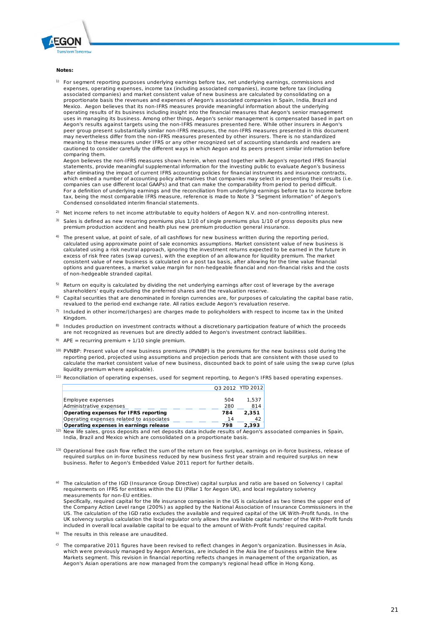

#### **Notes:**

<sup>1)</sup> For segment reporting purposes underlying earnings before tax, net underlying earnings, commissions and expenses, operating expenses, income tax (including associated companies), income before tax (including associated companies) and market consistent value of new business are calculated by consolidating on a proportionate basis the revenues and expenses of Aegon's associated companies in Spain, India, Brazil and Mexico. Aegon believes that its non-IFRS measures provide meaningful information about the underlying operating results of its business including insight into the financial measures that Aegon's senior management uses in managing its business. Among other things, Aegon's senior management is compensated based in part on Aegon's results against targets using the non-IFRS measures presented here. While other insurers in Aegon's peer group present substantially similar non-IFRS measures, the non-IFRS measures presented in this document may nevertheless differ from the non-IFRS measures presented by other insurers. There is no standardized meaning to these measures under IFRS or any other recognized set of accounting standards and readers are cautioned to consider carefully the different ways in which Aegon and its peers present similar information before comparing them.

Aegon believes the non-IFRS measures shown herein, when read together with Aegon's reported IFRS financial statements, provide meaningful supplemental information for the investing public to evaluate Aegon's business after eliminating the impact of current IFRS accounting policies for financial instruments and insurance contracts, which embed a number of accounting policy alternatives that companies may select in presenting their results (i.e. companies can use different local GAAPs) and that can make the comparability from period to period difficult. For a definition of underlying earnings and the reconciliation from underlying earnings before tax to income before tax, being the most comparable IFRS measure, reference is made to Note 3 "Segment information" of Aegon's Condensed consolidated interim financial statements.

- <sup>2)</sup> Net income refers to net income attributable to equity holders of Aegon N.V. and non-controlling interest.
- $3$  Sales is defined as new recurring premiums plus 1/10 of single premiums plus 1/10 of gross deposits plus new premium production accident and health plus new premium production general insurance
- <sup>4)</sup> The present value, at point of sale, of all cashflows for new business written during the reporting period, calculated using approximate point of sale economics assumptions. Market consistent value of new business is calculated using a risk neutral approach, ignoring the investment returns expected to be earned in the future in excess of risk free rates (swap curves), with the exeption of an allowance for liquidity premium. The market consistent value of new business is calculated on a post tax basis, after allowing for the time value financial options and guarentees, a market value margin for non-hedgeable financial and non-financial risks and the costs of non-hedgeable stranded capital.
- 5) Return on equity is calculated by dividing the net underlying earnings after cost of leverage by the average shareholders' equity excluding the preferred shares and the revaluation reserve.
- 6) Capital securities that are denominated in foreign currencies are, for purposes of calculating the capital base ratio, revalued to the period-end exchange rate. All ratios exclude Aegon's revaluation reserve.
- $7)$  Included in other income/(charges) are charges made to policyholders with respect to income tax in the United Kingdom.
- 8) Includes production on investment contracts without a discretionary participation feature of which the proceeds are not recognized as revenues but are directly added to Aegon's investment contract liabilities.
- <sup>9)</sup> APE = recurring premium + 1/10 single premium.
- <sup>10)</sup> PVNBP: Present value of new business premiums (PVNBP) is the premiums for the new business sold during the reporting period, projected using assumptions and projection periods that are consistent with those used to calculate the market consistent value of new business, discounted back to point of sale using the swap curve (plus liquidity premium where applicable).
- <sup>11)</sup> Reconciliation of operating expenses, used for segment reporting, to Aegon's IFRS based operating expenses.

|                                          |     | O3 2012 YTD 2012 |
|------------------------------------------|-----|------------------|
|                                          |     |                  |
| Employee expenses                        | 504 | 1.537            |
| Administrative expenses                  | 280 | 814              |
| Operating expenses for IFRS reporting    | 784 | 2,351            |
| Operating expenses related to associates | 14  | 42               |
| Operating expenses in earnings release   | 798 | 2,393            |

- <sup>12)</sup> New life sales, gross deposits and net deposits data include results of Aegon's associated companies in Spain, India, Brazil and Mexico which are consolidated on a proportionate basis.
- <sup>13)</sup> Operational free cash flow reflect the sum of the return on free surplus, earnings on in-force business, release of required surplus on in-force business reduced by new business first year strain and required surplus on new business. Refer to Aegon's Embedded Value 2011 report for further details.

a) The calculation of the IGD (Insurance Group Directive) capital surplus and ratio are based on Solvency I capital requirements on IFRS for entities within the EU (Pillar 1 for Aegon UK), and local regulatory solvency measurements for non-EU entities. Specifically, required capital for the life insurance companies in the US is calculated as two times the upper end of the Company Action Level range (200%) as applied by the National Association of Insurance Commissioners in the

US. The calculation of the IGD ratio excludes the available and required capital of the UK With-Profit funds. In the UK solvency surplus calculation the local regulator only allows the available capital number of the With-Profit funds included in overall local available capital to be equal to the amount of With-Profit funds' required capital.

b) The results in this release are unaudited.

<sup>c)</sup> The comparative 2011 figures have been revised to reflect changes in Aegon's organization. Businesses in Asia, which were previously managed by Aegon Americas, are included in the Asia line of business within the New Markets segment. This revision in financial reporting reflects changes in management of the organization, as Aegon's Asian operations are now managed from the company's regional head office in Hong Kong.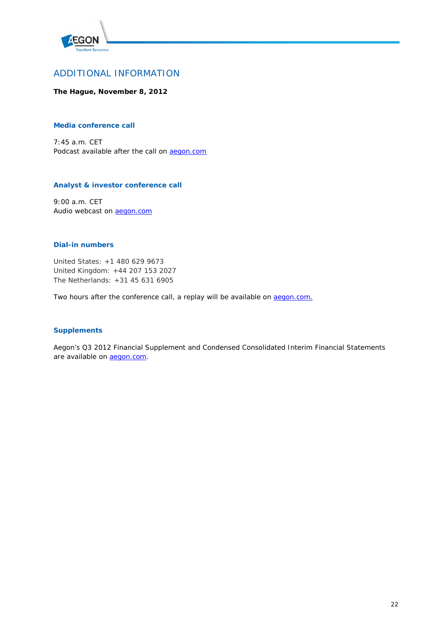

# ADDITIONAL INFORMATION

## **The Hague, November 8, 2012**

#### **Media conference call**

7:45 a.m. CET Podcast available after the call on **aegon.com** 

## **Analyst & investor conference call**

9:00 a.m. CET Audio webcast on **aegon.com** 

#### **Dial-in numbers**

United States: +1 480 629 9673 United Kingdom: +44 207 153 2027 The Netherlands: +31 45 631 6905

Two hours after the conference call, a replay will be available on **aegon.com.** 

#### **Supplements**

Aegon's Q3 2012 Financial Supplement and Condensed Consolidated Interim Financial Statements are available on **aegon.com**.